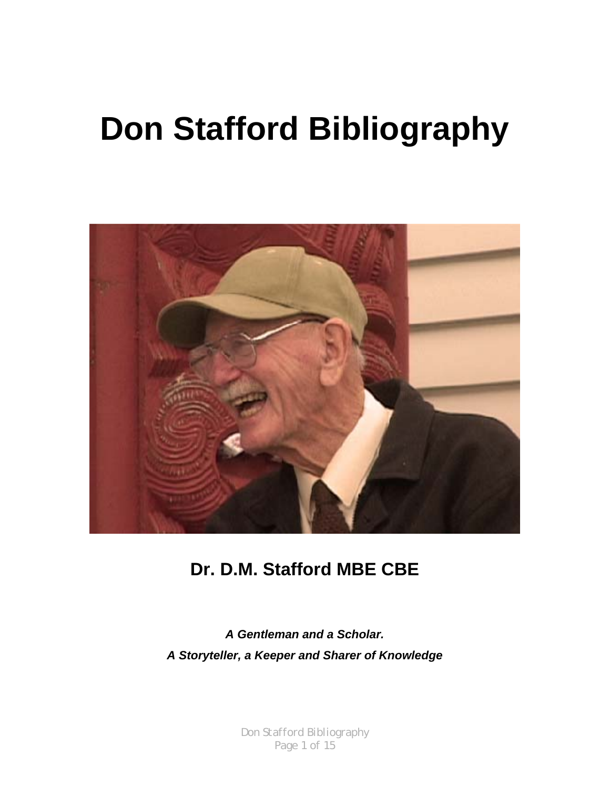# **Don Stafford Bibliography**



# **Dr. D.M. Stafford MBE CBE**

*A Gentleman and a Scholar. A Storyteller, a Keeper and Sharer of Knowledge*

> *Don Stafford Bibliography Page 1 of 15*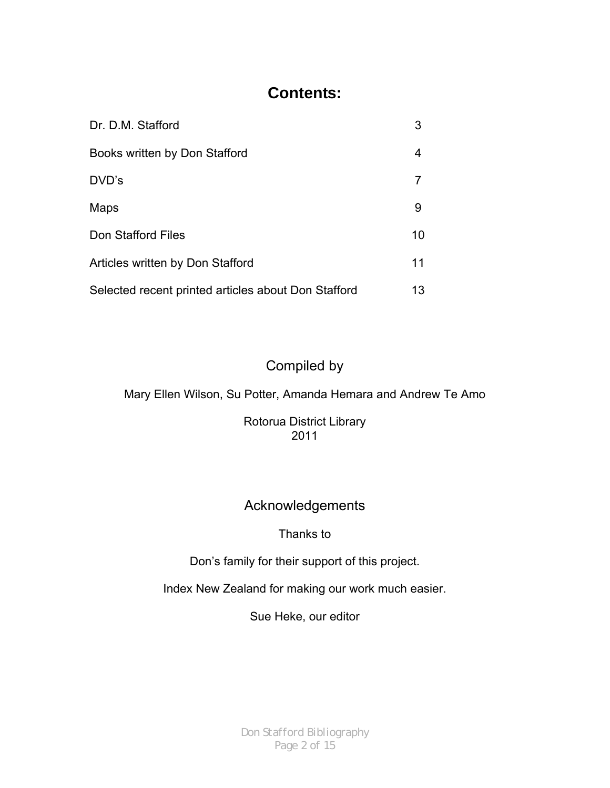#### **Contents:**

| Dr. D.M. Stafford                                   | 3  |
|-----------------------------------------------------|----|
| Books written by Don Stafford                       | 4  |
| DVD's                                               |    |
| <b>Maps</b>                                         | 9  |
| Don Stafford Files                                  | 10 |
| Articles written by Don Stafford                    | 11 |
| Selected recent printed articles about Don Stafford | 13 |

#### Compiled by

Mary Ellen Wilson, Su Potter, Amanda Hemara and Andrew Te Amo

Rotorua District Library 2011

#### Acknowledgements

#### Thanks to

Don's family for their support of this project.

Index New Zealand for making our work much easier.

Sue Heke, our editor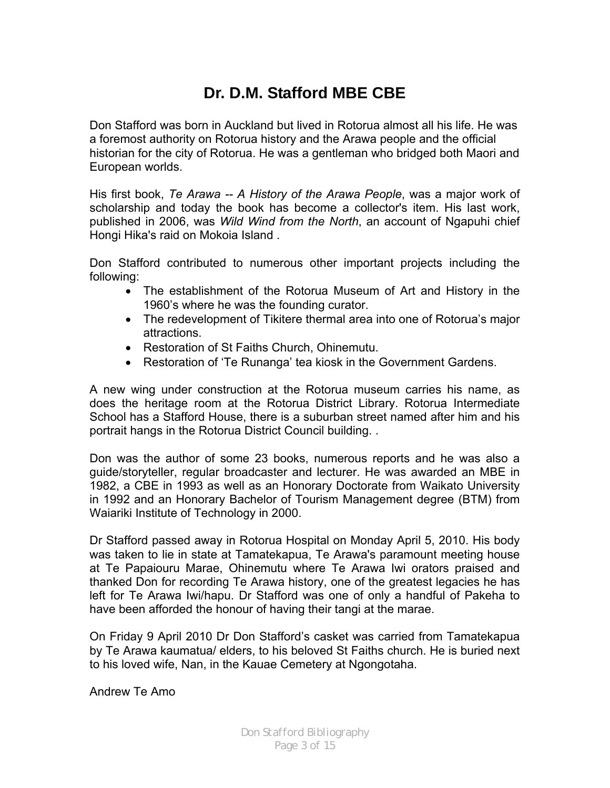## **Dr. D.M. Stafford MBE CBE**

Don Stafford was born in Auckland but lived in Rotorua almost all his life. He was a foremost authority on Rotorua history and the Arawa people and the official historian for the city of Rotorua. He was a gentleman who bridged both Maori and European worlds.

His first book, *Te Arawa -- A History of the Arawa People*, was a major work of scholarship and today the book has become a collector's item. His last work, published in 2006, was *Wild Wind from the North*, an account of Ngapuhi chief Hongi Hika's raid on Mokoia Island .

Don Stafford contributed to numerous other important projects including the following:

- The establishment of the Rotorua Museum of Art and History in the 1960's where he was the founding curator.
- The redevelopment of Tikitere thermal area into one of Rotorua's major attractions.
- Restoration of St Faiths Church, Ohinemutu.
- Restoration of 'Te Runanga' tea kiosk in the Government Gardens.

A new wing under construction at the Rotorua museum carries his name, as does the heritage room at the Rotorua District Library. Rotorua Intermediate School has a Stafford House, there is a suburban street named after him and his portrait hangs in the Rotorua District Council building. .

Don was the author of some 23 books, numerous reports and he was also a guide/storyteller, regular broadcaster and lecturer. He was awarded an MBE in 1982, a CBE in 1993 as well as an Honorary Doctorate from Waikato University in 1992 and an Honorary Bachelor of Tourism Management degree (BTM) from Waiariki Institute of Technology in 2000.

Dr Stafford passed away in Rotorua Hospital on Monday April 5, 2010. His body was taken to lie in state at Tamatekapua, Te Arawa's paramount meeting house at Te Papaiouru Marae, Ohinemutu where Te Arawa Iwi orators praised and thanked Don for recording Te Arawa history, one of the greatest legacies he has left for Te Arawa Iwi/hapu. Dr Stafford was one of only a handful of Pakeha to have been afforded the honour of having their tangi at the marae.

On Friday 9 April 2010 Dr Don Stafford's casket was carried from Tamatekapua by Te Arawa kaumatua/ elders, to his beloved St Faiths church. He is buried next to his loved wife, Nan, in the Kauae Cemetery at Ngongotaha.

Andrew Te Amo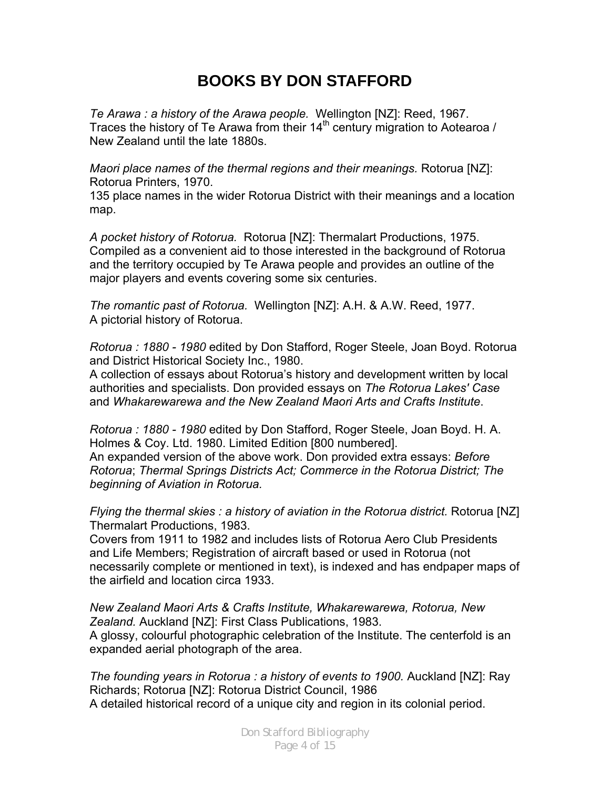## **BOOKS BY DON STAFFORD**

*Te Arawa : a history of the Arawa people.* Wellington [NZ]: Reed, 1967. Traces the history of Te Arawa from their  $14<sup>th</sup>$  century migration to Aotearoa / New Zealand until the late 1880s.

*Maori place names of the thermal regions and their meanings.* Rotorua [NZ]: Rotorua Printers, 1970.

135 place names in the wider Rotorua District with their meanings and a location map.

*A pocket history of Rotorua.* Rotorua [NZ]: Thermalart Productions, 1975. Compiled as a convenient aid to those interested in the background of Rotorua and the territory occupied by Te Arawa people and provides an outline of the major players and events covering some six centuries.

*The romantic past of Rotorua.* Wellington [NZ]: A.H. & A.W. Reed, 1977. A pictorial history of Rotorua.

*Rotorua : 1880 - 1980* edited by Don Stafford, Roger Steele, Joan Boyd. Rotorua and District Historical Society Inc., 1980.

A collection of essays about Rotorua's history and development written by local authorities and specialists. Don provided essays on *The Rotorua Lakes' Case* and *Whakarewarewa and the New Zealand Maori Arts and Crafts Institute*.

*Rotorua : 1880 - 1980* edited by Don Stafford, Roger Steele, Joan Boyd. H. A. Holmes & Coy. Ltd. 1980. Limited Edition [800 numbered]. An expanded version of the above work. Don provided extra essays: *Before Rotorua*; *Thermal Springs Districts Act; Commerce in the Rotorua District; The beginning of Aviation in Rotorua.*

*Flying the thermal skies : a history of aviation in the Rotorua district.* Rotorua [NZ] Thermalart Productions, 1983.

Covers from 1911 to 1982 and includes lists of Rotorua Aero Club Presidents and Life Members; Registration of aircraft based or used in Rotorua (not necessarily complete or mentioned in text), is indexed and has endpaper maps of the airfield and location circa 1933.

*New Zealand Maori Arts & Crafts Institute, Whakarewarewa, Rotorua, New Zealand.* Auckland [NZ]: First Class Publications, 1983. A glossy, colourful photographic celebration of the Institute. The centerfold is an expanded aerial photograph of the area.

*The founding years in Rotorua : a history of events to 1900.* Auckland [NZ]: Ray Richards; Rotorua [NZ]: Rotorua District Council, 1986 A detailed historical record of a unique city and region in its colonial period.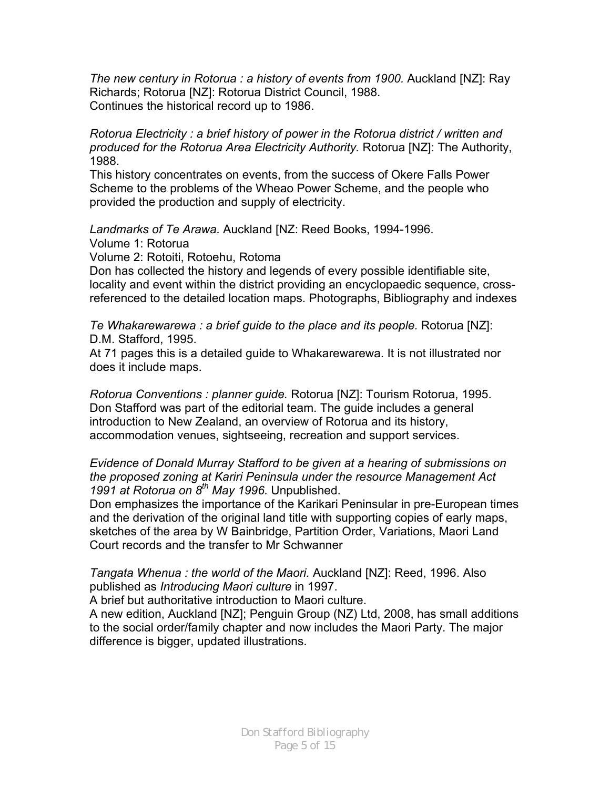*The new century in Rotorua : a history of events from 1900.* Auckland [NZ]: Ray Richards; Rotorua [NZ]: Rotorua District Council, 1988. Continues the historical record up to 1986.

*Rotorua Electricity : a brief history of power in the Rotorua district / written and produced for the Rotorua Area Electricity Authority.* Rotorua [NZ]: The Authority, 1988.

This history concentrates on events, from the success of Okere Falls Power Scheme to the problems of the Wheao Power Scheme, and the people who provided the production and supply of electricity.

*Landmarks of Te Arawa.* Auckland [NZ: Reed Books, 1994-1996.

Volume 1: Rotorua

Volume 2: Rotoiti, Rotoehu, Rotoma

Don has collected the history and legends of every possible identifiable site, locality and event within the district providing an encyclopaedic sequence, crossreferenced to the detailed location maps. Photographs, Bibliography and indexes

*Te Whakarewarewa : a brief guide to the place and its people.* Rotorua [NZ]: D.M. Stafford, 1995.

At 71 pages this is a detailed guide to Whakarewarewa. It is not illustrated nor does it include maps.

*Rotorua Conventions : planner guide.* Rotorua [NZ]: Tourism Rotorua, 1995. Don Stafford was part of the editorial team. The guide includes a general introduction to New Zealand, an overview of Rotorua and its history, accommodation venues, sightseeing, recreation and support services.

*Evidence of Donald Murray Stafford to be given at a hearing of submissions on the proposed zoning at Kariri Peninsula under the resource Management Act 1991 at Rotorua on 8th May 1996.* Unpublished.

Don emphasizes the importance of the Karikari Peninsular in pre-European times and the derivation of the original land title with supporting copies of early maps, sketches of the area by W Bainbridge, Partition Order, Variations, Maori Land Court records and the transfer to Mr Schwanner

*Tangata Whenua : the world of the Maori.* Auckland [NZ]: Reed, 1996. Also published as *Introducing Maori culture* in 1997.

A brief but authoritative introduction to Maori culture.

A new edition, Auckland [NZ]; Penguin Group (NZ) Ltd, 2008, has small additions to the social order/family chapter and now includes the Maori Party. The major difference is bigger, updated illustrations.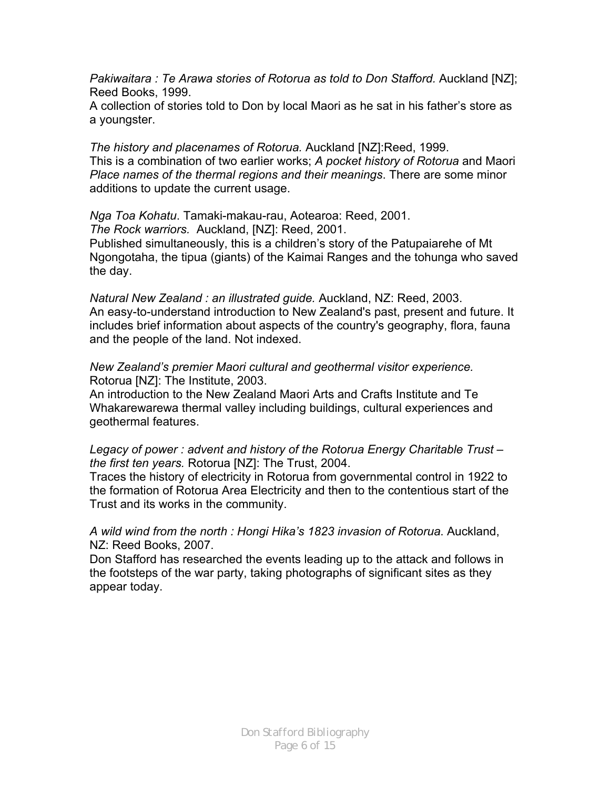*Pakiwaitara : Te Arawa stories of Rotorua as told to Don Stafford.* Auckland [NZ]; Reed Books, 1999.

A collection of stories told to Don by local Maori as he sat in his father's store as a youngster.

*The history and placenames of Rotorua.* Auckland [NZ]:Reed, 1999. This is a combination of two earlier works; *A pocket history of Rotorua* and Maori *Place names of the thermal regions and their meanings*. There are some minor additions to update the current usage.

*Nga Toa Kohatu*. Tamaki-makau-rau, Aotearoa: Reed, 2001.

*The Rock warriors.* Auckland, [NZ]: Reed, 2001.

Published simultaneously, this is a children's story of the Patupaiarehe of Mt Ngongotaha, the tipua (giants) of the Kaimai Ranges and the tohunga who saved the day.

*Natural New Zealand : an illustrated guide.* Auckland, NZ: Reed, 2003. An easy-to-understand introduction to New Zealand's past, present and future. It includes brief information about aspects of the country's geography, flora, fauna and the people of the land. Not indexed.

*New Zealand's premier Maori cultural and geothermal visitor experience.*  Rotorua [NZ]: The Institute, 2003.

An introduction to the New Zealand Maori Arts and Crafts Institute and Te Whakarewarewa thermal valley including buildings, cultural experiences and geothermal features.

*Legacy of power : advent and history of the Rotorua Energy Charitable Trust – the first ten years.* Rotorua [NZ]: The Trust, 2004.

Traces the history of electricity in Rotorua from governmental control in 1922 to the formation of Rotorua Area Electricity and then to the contentious start of the Trust and its works in the community.

*A wild wind from the north : Hongi Hika's 1823 invasion of Rotorua*. Auckland, NZ: Reed Books, 2007.

Don Stafford has researched the events leading up to the attack and follows in the footsteps of the war party, taking photographs of significant sites as they appear today.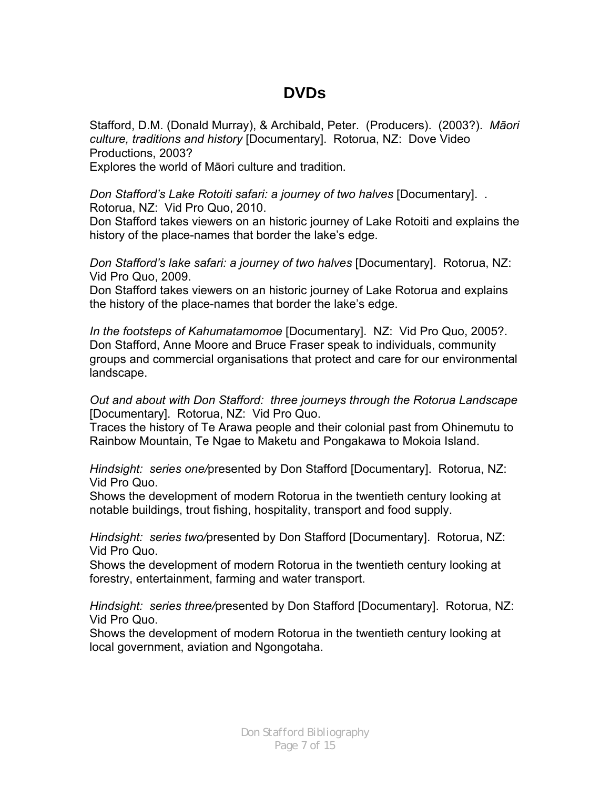#### **DVDs**

Stafford, D.M. (Donald Murray), & Archibald, Peter. (Producers). (2003?). *Māori culture, traditions and history* [Documentary]. Rotorua, NZ: Dove Video Productions, 2003?

Explores the world of Māori culture and tradition.

*Don Stafford's Lake Rotoiti safari: a journey of two halves* [Documentary]. . Rotorua, NZ: Vid Pro Quo, 2010.

Don Stafford takes viewers on an historic journey of Lake Rotoiti and explains the history of the place-names that border the lake's edge.

*Don Stafford's lake safari: a journey of two halves* [Documentary]. Rotorua, NZ: Vid Pro Quo, 2009.

Don Stafford takes viewers on an historic journey of Lake Rotorua and explains the history of the place-names that border the lake's edge.

*In the footsteps of Kahumatamomoe* [Documentary]. NZ: Vid Pro Quo, 2005?. Don Stafford, Anne Moore and Bruce Fraser speak to individuals, community groups and commercial organisations that protect and care for our environmental landscape.

*Out and about with Don Stafford: three journeys through the Rotorua Landscape*  [Documentary]. Rotorua, NZ: Vid Pro Quo.

Traces the history of Te Arawa people and their colonial past from Ohinemutu to Rainbow Mountain, Te Ngae to Maketu and Pongakawa to Mokoia Island.

*Hindsight: series one/*presented by Don Stafford [Documentary]. Rotorua, NZ: Vid Pro Quo.

Shows the development of modern Rotorua in the twentieth century looking at notable buildings, trout fishing, hospitality, transport and food supply.

*Hindsight: series two/*presented by Don Stafford [Documentary]. Rotorua, NZ: Vid Pro Quo.

Shows the development of modern Rotorua in the twentieth century looking at forestry, entertainment, farming and water transport.

*Hindsight: series three/*presented by Don Stafford [Documentary]. Rotorua, NZ: Vid Pro Quo.

Shows the development of modern Rotorua in the twentieth century looking at local government, aviation and Ngongotaha.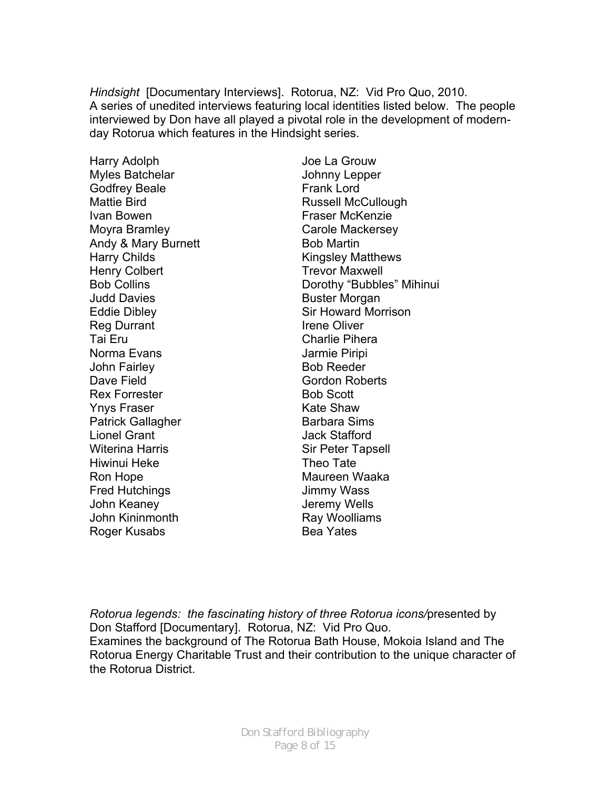*Hindsight* [Documentary Interviews]. Rotorua, NZ: Vid Pro Quo, 2010. A series of unedited interviews featuring local identities listed below. The people interviewed by Don have all played a pivotal role in the development of modernday Rotorua which features in the Hindsight series.

Harry Adolph Myles Batchelar Godfrey Beale Mattie Bird Ivan Bowen Moyra Bramley Andy & Mary Burnett Harry Childs Henry Colbert Bob Collins Judd Davies Eddie Dibley Reg Durrant Tai Eru Norma Evans John Fairley Dave Field Rex Forrester Ynys Fraser Patrick Gallagher Lionel Grant Witerina Harris Hiwinui Heke Ron Hope Fred Hutchings John Keaney John Kininmonth Roger Kusabs

Joe La Grouw Johnny Lepper Frank Lord Russell McCullough Fraser McKenzie Carole Mackersey Bob Martin Kingsley Matthews Trevor Maxwell Dorothy "Bubbles" Mihinui Buster Morgan Sir Howard Morrison Irene Oliver Charlie Pihera Jarmie Piripi Bob Reeder Gordon Roberts Bob Scott Kate Shaw Barbara Sims Jack Stafford Sir Peter Tapsell Theo Tate Maureen Waaka Jimmy Wass Jeremy Wells Ray Woolliams Bea Yates

*Rotorua legends: the fascinating history of three Rotorua icons/*presented by Don Stafford [Documentary]. Rotorua, NZ: Vid Pro Quo. Examines the background of The Rotorua Bath House, Mokoia Island and The Rotorua Energy Charitable Trust and their contribution to the unique character of the Rotorua District.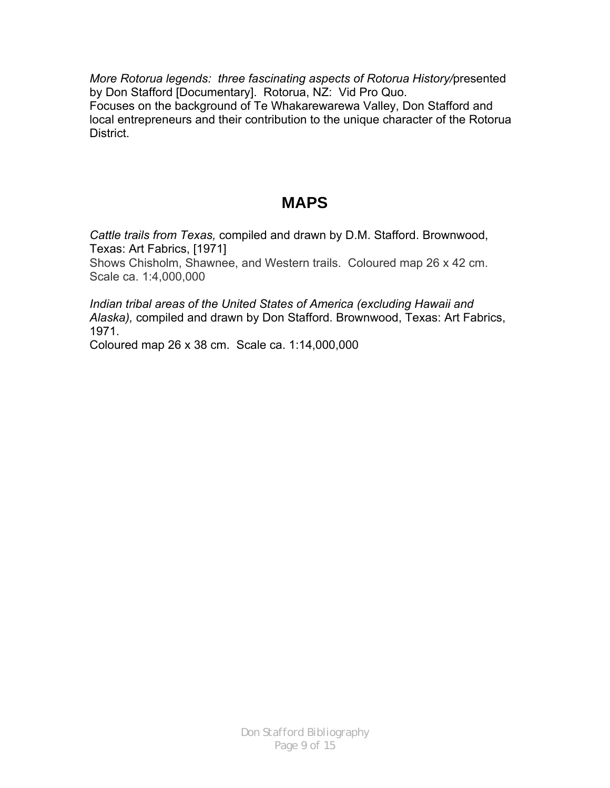*More Rotorua legends: three fascinating aspects of Rotorua History/*presented by Don Stafford [Documentary]. Rotorua, NZ: Vid Pro Quo. Focuses on the background of Te Whakarewarewa Valley, Don Stafford and local entrepreneurs and their contribution to the unique character of the Rotorua **District.** 

## **MAPS**

*Cattle trails from Texas,* compiled and drawn by D.M. Stafford. Brownwood, Texas: Art Fabrics, [1971]

Shows Chisholm, Shawnee, and Western trails. Coloured map 26 x 42 cm. Scale ca. 1:4,000,000

*Indian tribal areas of the United States of America (excluding Hawaii and Alaska),* compiled and drawn by Don Stafford. Brownwood, Texas: Art Fabrics, 1971.

Coloured map 26 x 38 cm. Scale ca. 1:14,000,000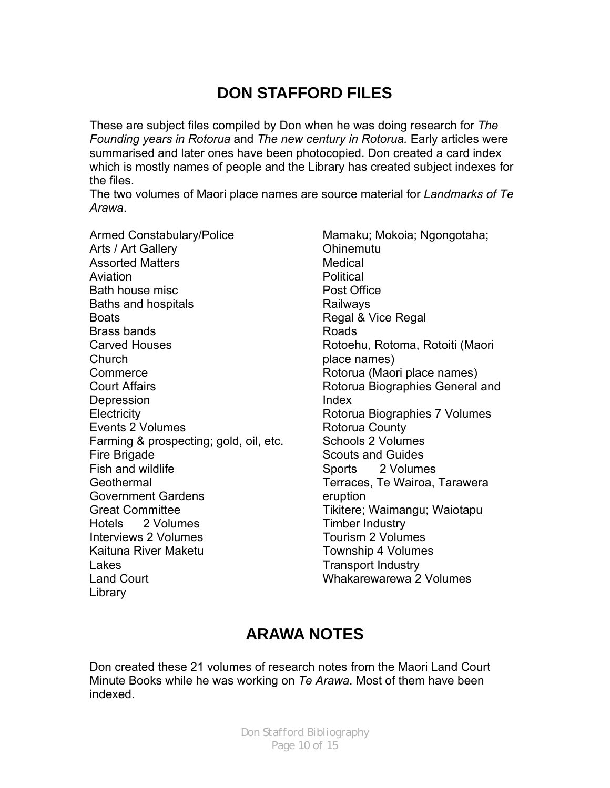## **DON STAFFORD FILES**

These are subject files compiled by Don when he was doing research for *The Founding years in Rotorua* and *The new century in Rotorua.* Early articles were summarised and later ones have been photocopied. Don created a card index which is mostly names of people and the Library has created subject indexes for the files.

The two volumes of Maori place names are source material for *Landmarks of Te Arawa*.

Armed Constabulary/Police Arts / Art Gallery Assorted Matters Aviation Bath house misc Baths and hospitals **Boats** Brass bands Carved Houses Church **Commerce** Court Affairs Depression **Electricity** Events 2 Volumes Farming & prospecting; gold, oil, etc. Fire Brigade Fish and wildlife **Geothermal** Government Gardens Great Committee Hotels 2 Volumes Interviews 2 Volumes Kaituna River Maketu Lakes Land Court Library

Mamaku; Mokoia; Ngongotaha; Ohinemutu Medical **Political** Post Office Railways Regal & Vice Regal Roads Rotoehu, Rotoma, Rotoiti (Maori place names) Rotorua (Maori place names) Rotorua Biographies General and Index Rotorua Biographies 7 Volumes Rotorua County Schools 2 Volumes Scouts and Guides Sports 2 Volumes Terraces, Te Wairoa, Tarawera eruption Tikitere; Waimangu; Waiotapu Timber Industry Tourism 2 Volumes Township 4 Volumes Transport Industry Whakarewarewa 2 Volumes

## **ARAWA NOTES**

Don created these 21 volumes of research notes from the Maori Land Court Minute Books while he was working on *Te Arawa*. Most of them have been indexed.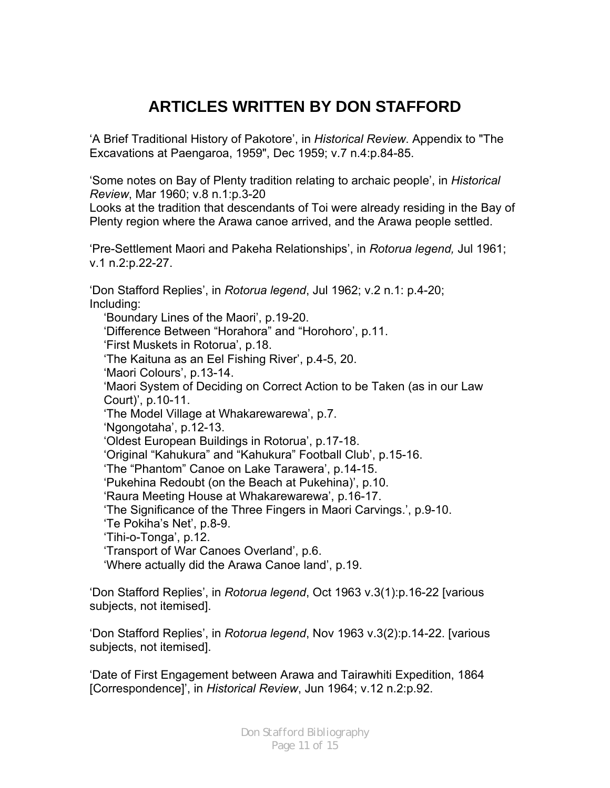## **ARTICLES WRITTEN BY DON STAFFORD**

'A Brief Traditional History of Pakotore', in *Historical Review*. Appendix to "The Excavations at Paengaroa, 1959", Dec 1959; v.7 n.4:p.84-85.

'Some notes on Bay of Plenty tradition relating to archaic people', in *Historical Review*, Mar 1960; v.8 n.1:p.3-20

Looks at the tradition that descendants of Toi were already residing in the Bay of Plenty region where the Arawa canoe arrived, and the Arawa people settled.

'Pre-Settlement Maori and Pakeha Relationships', in *Rotorua legend,* Jul 1961; v.1 n.2:p.22-27.

'Don Stafford Replies', in *Rotorua legend*, Jul 1962; v.2 n.1: p.4-20; Including:

'Boundary Lines of the Maori', p.19-20. 'Difference Between "Horahora" and "Horohoro', p.11. 'First Muskets in Rotorua', p.18. 'The Kaituna as an Eel Fishing River', p.4-5, 20. 'Maori Colours', p.13-14. 'Maori System of Deciding on Correct Action to be Taken (as in our Law Court)', p.10-11. 'The Model Village at Whakarewarewa', p.7. 'Ngongotaha', p.12-13. 'Oldest European Buildings in Rotorua', p.17-18. 'Original "Kahukura" and "Kahukura" Football Club', p.15-16. 'The "Phantom" Canoe on Lake Tarawera', p.14-15. 'Pukehina Redoubt (on the Beach at Pukehina)', p.10. 'Raura Meeting House at Whakarewarewa', p.16-17. 'The Significance of the Three Fingers in Maori Carvings.', p.9-10. 'Te Pokiha's Net', p.8-9. 'Tihi-o-Tonga', p.12. 'Transport of War Canoes Overland', p.6. 'Where actually did the Arawa Canoe land', p.19.

'Don Stafford Replies', in *Rotorua legend*, Oct 1963 v.3(1):p.16-22 [various subjects, not itemised].

'Don Stafford Replies', in *Rotorua legend*, Nov 1963 v.3(2):p.14-22. [various subjects, not itemised].

'Date of First Engagement between Arawa and Tairawhiti Expedition, 1864 [Correspondence]', in *Historical Review*, Jun 1964; v.12 n.2:p.92.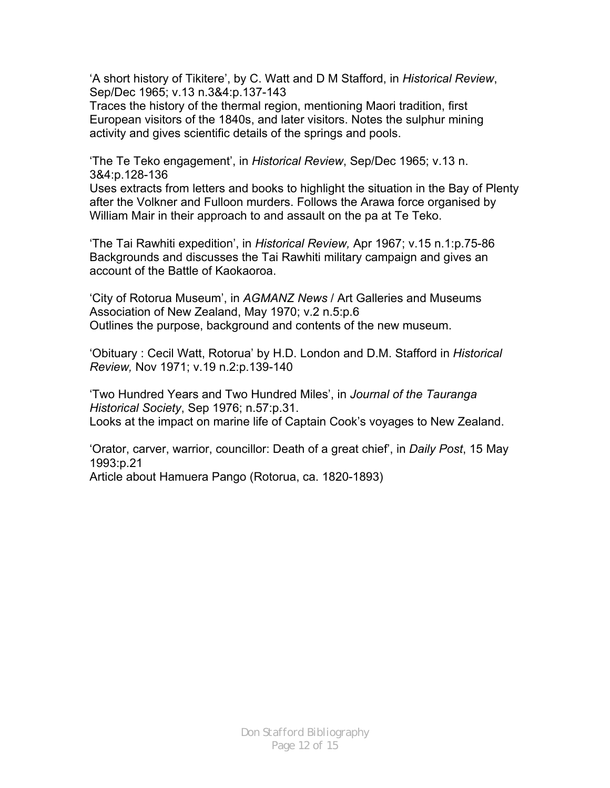'A short history of Tikitere', by C. Watt and D M Stafford, in *Historical Review*, Sep/Dec 1965; v.13 n.3&4:p.137-143

Traces the history of the thermal region, mentioning Maori tradition, first European visitors of the 1840s, and later visitors. Notes the sulphur mining activity and gives scientific details of the springs and pools.

'The Te Teko engagement', in *Historical Review*, Sep/Dec 1965; v.13 n. 3&4:p.128-136

Uses extracts from letters and books to highlight the situation in the Bay of Plenty after the Volkner and Fulloon murders. Follows the Arawa force organised by William Mair in their approach to and assault on the pa at Te Teko.

'The Tai Rawhiti expedition', in *Historical Review,* Apr 1967; v.15 n.1:p.75-86 Backgrounds and discusses the Tai Rawhiti military campaign and gives an account of the Battle of Kaokaoroa.

'City of Rotorua Museum', in *AGMANZ News* / Art Galleries and Museums Association of New Zealand, May 1970; v.2 n.5:p.6 Outlines the purpose, background and contents of the new museum.

'Obituary : Cecil Watt, Rotorua' by H.D. London and D.M. Stafford in *Historical Review,* Nov 1971; v.19 n.2:p.139-140

'Two Hundred Years and Two Hundred Miles', in *Journal of the Tauranga Historical Society*, Sep 1976; n.57:p.31. Looks at the impact on marine life of Captain Cook's voyages to New Zealand.

'Orator, carver, warrior, councillor: Death of a great chief', in *Daily Post*, 15 May 1993:p.21

Article about Hamuera Pango (Rotorua, ca. 1820-1893)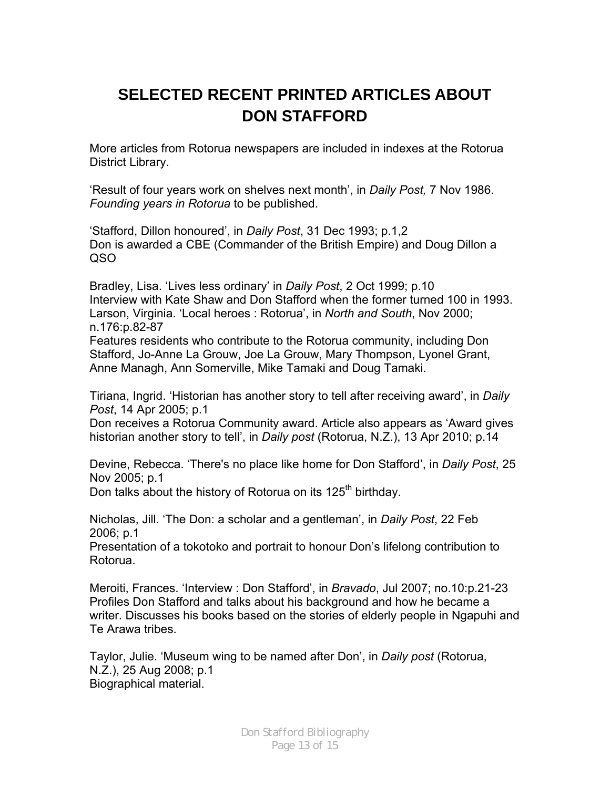# **SELECTED RECENT PRINTED ARTICLES ABOUT DON STAFFORD**

More articles from Rotorua newspapers are included in indexes at the Rotorua District Library.

'Result of four years work on shelves next month', in *Daily Post,* 7 Nov 1986. *Founding years in Rotorua* to be published.

'Stafford, Dillon honoured', in *Daily Post*, 31 Dec 1993; p.1,2 Don is awarded a CBE (Commander of the British Empire) and Doug Dillon a QSO

Bradley, Lisa. 'Lives less ordinary' in *Daily Post*, 2 Oct 1999; p.10 Interview with Kate Shaw and Don Stafford when the former turned 100 in 1993. Larson, Virginia. 'Local heroes : Rotorua', in *North and South*, Nov 2000; n.176:p.82-87

Features residents who contribute to the Rotorua community, including Don Stafford, Jo-Anne La Grouw, Joe La Grouw, Mary Thompson, Lyonel Grant, Anne Managh, Ann Somerville, Mike Tamaki and Doug Tamaki.

Tiriana, Ingrid. 'Historian has another story to tell after receiving award', in *Daily Post*, 14 Apr 2005; p.1

Don receives a Rotorua Community award. Article also appears as 'Award gives historian another story to tell', in *Daily post* (Rotorua, N.Z.), 13 Apr 2010; p.14

Devine, Rebecca. 'There's no place like home for Don Stafford', in *Daily Post*, 25 Nov 2005; p.1

Don talks about the history of Rotorua on its 125<sup>th</sup> birthday.

Nicholas, Jill. 'The Don: a scholar and a gentleman', in *Daily Post*, 22 Feb 2006; p.1

Presentation of a tokotoko and portrait to honour Don's lifelong contribution to Rotorua.

Meroiti, Frances. 'Interview : Don Stafford', in *Bravado*, Jul 2007; no.10:p.21-23 Profiles Don Stafford and talks about his background and how he became a writer. Discusses his books based on the stories of elderly people in Ngapuhi and Te Arawa tribes.

Taylor, Julie. 'Museum wing to be named after Don', in *Daily post* (Rotorua, N.Z.), 25 Aug 2008; p.1 Biographical material.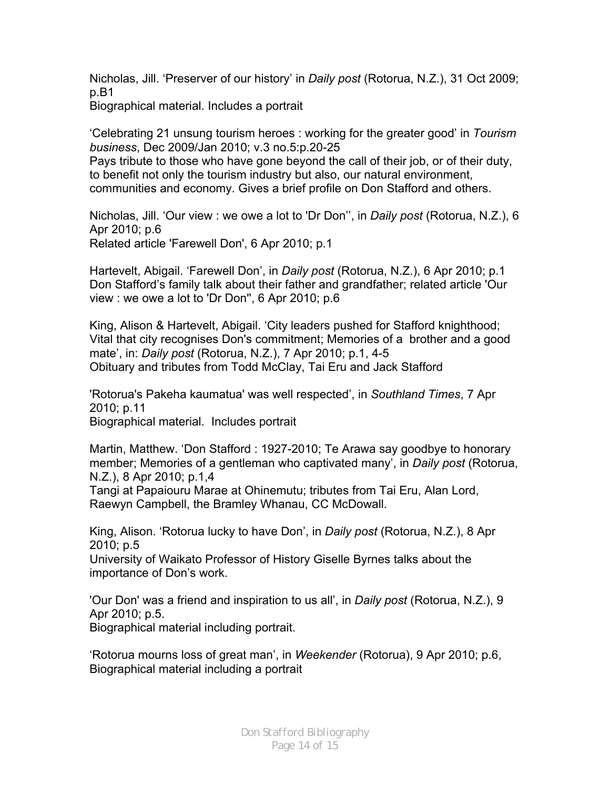Nicholas, Jill. 'Preserver of our history' in *Daily post* (Rotorua, N.Z.), 31 Oct 2009; p.B1

Biographical material. Includes a portrait

'Celebrating 21 unsung tourism heroes : working for the greater good' in *Tourism business*, Dec 2009/Jan 2010; v.3 no.5:p.20-25

Pays tribute to those who have gone beyond the call of their job, or of their duty, to benefit not only the tourism industry but also, our natural environment, communities and economy. Gives a brief profile on Don Stafford and others.

Nicholas, Jill. 'Our view : we owe a lot to 'Dr Don'', in *Daily post* (Rotorua, N.Z.), 6 Apr 2010; p.6 Related article 'Farewell Don', 6 Apr 2010; p.1

Hartevelt, Abigail. 'Farewell Don', in *Daily post* (Rotorua, N.Z.), 6 Apr 2010; p.1 Don Stafford's family talk about their father and grandfather; related article 'Our view : we owe a lot to 'Dr Don'', 6 Apr 2010; p.6

King, Alison & Hartevelt, Abigail. 'City leaders pushed for Stafford knighthood; Vital that city recognises Don's commitment; Memories of a brother and a good mate', in: *Daily post* (Rotorua, N.Z.), 7 Apr 2010; p.1, 4-5 Obituary and tributes from Todd McClay, Tai Eru and Jack Stafford

'Rotorua's Pakeha kaumatua' was well respected', in *Southland Times*, 7 Apr 2010; p.11 Biographical material. Includes portrait

Martin, Matthew. 'Don Stafford : 1927-2010; Te Arawa say goodbye to honorary member; Memories of a gentleman who captivated many', in *Daily post* (Rotorua, N.Z.), 8 Apr 2010; p.1,4

Tangi at Papaiouru Marae at Ohinemutu; tributes from Tai Eru, Alan Lord, Raewyn Campbell, the Bramley Whanau, CC McDowall.

King, Alison. 'Rotorua lucky to have Don', in *Daily post* (Rotorua, N.Z.), 8 Apr 2010; p.5

University of Waikato Professor of History Giselle Byrnes talks about the importance of Don's work.

'Our Don' was a friend and inspiration to us all', in *Daily post* (Rotorua, N.Z.), 9 Apr 2010; p.5.

Biographical material including portrait.

'Rotorua mourns loss of great man', in *Weekender* (Rotorua), 9 Apr 2010; p.6, Biographical material including a portrait